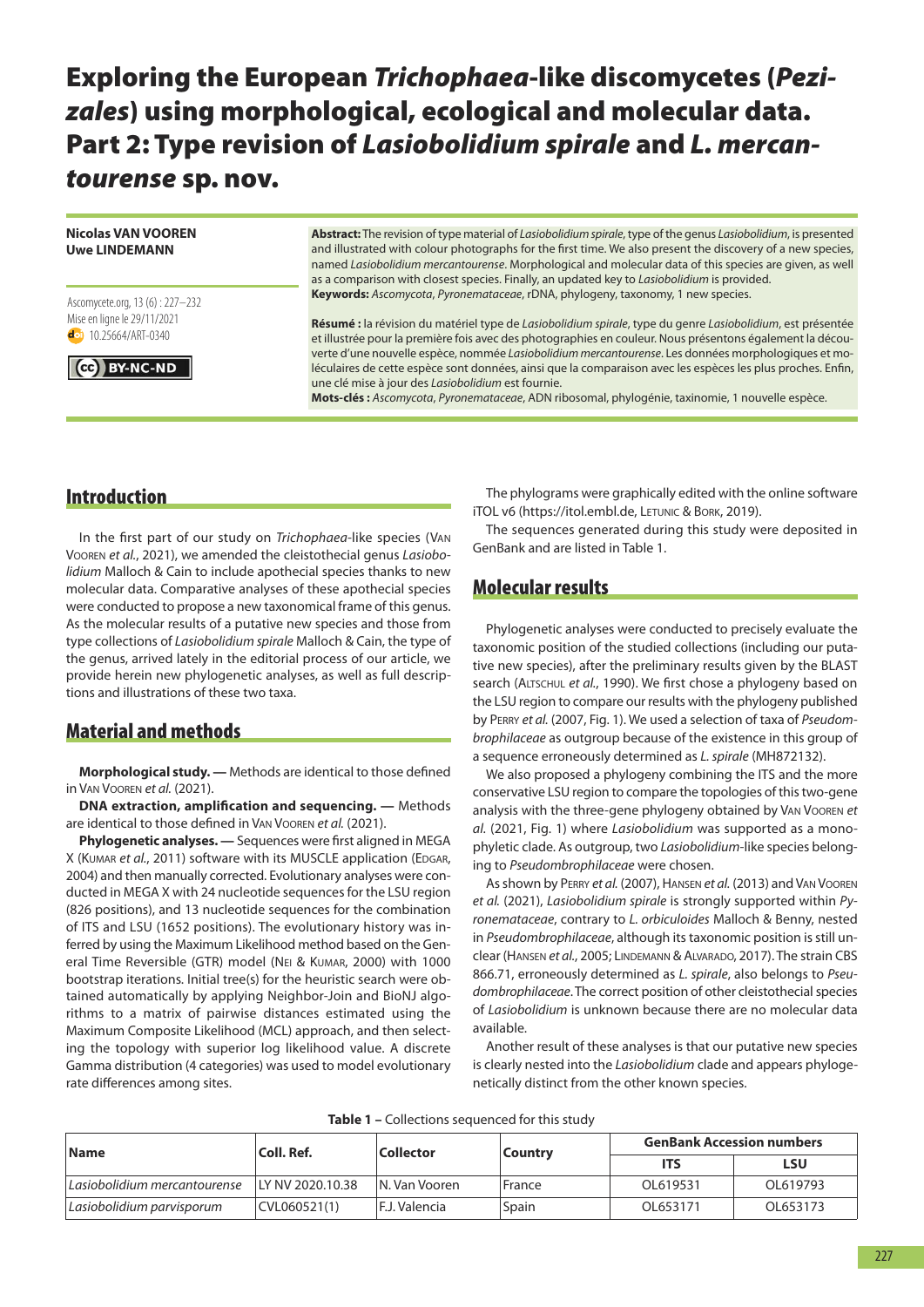# **Exploring the European** *Trichophaea***-like discomycetes (***Pezizales***) using morphological, ecological and molecular data. Part 2: Type revision of** *Lasiobolidium spirale* **and** *L. mercantourense* **sp. nov.**

#### **Nicolas VAN VOOREN Uwe LINDEMANN**

#### Ascomycete.org, 13 (6) : 227–232 Mise en ligne le 29/11/2021 dol 10.25664/ART-0340



**Abstract:** The revision of type material of *Lasiobolidium spirale*, type of the genus *Lasiobolidium*, is presented and illustrated with colour photographs for the first time. We also present the discovery of a new species, named *Lasiobolidium mercantourense*. Morphological and molecular data of this species are given, as well as a comparison with closest species. Finally, an updated key to *Lasiobolidium* is provided. Keywords: Ascomycota, Pyronemataceae, rDNA, phylogeny, taxonomy, 1 new species.

**Résumé :** la révision du matériel type de *Lasiobolidium spirale*, type du genre *Lasiobolidium*, est présentée et illustrée pour la première fois avec des photographies en couleur. Nous présentons également la découverte d'une nouvelle espèce, nommée *Lasiobolidium mercantourense*. Les données morphologiques et moléculaires de cette espèce sont données, ainsi que la comparaison avec les espèces les plus proches. enfin, une clé mise à jour des *Lasiobolidium* est fournie.

**Mots-clés :** *Ascomycota*, *Pyronemataceae*, adN ribosomal, phylogénie, taxinomie, 1 nouvelle espèce.

## **Introduction**

In the first part of our study on *Trichophaea*-like species (VaN VOOREN et al., 2021), we amended the cleistothecial genus *Lasiobolidium* Malloch & Cain to include apothecial species thanks to new molecular data. Comparative analyses of these apothecial species were conducted to propose a new taxonomical frame of this genus. As the molecular results of a putative new species and those from type collections of *Lasiobolidium spirale* Malloch & Cain, the type of the genus, arrived lately in the editorial process of our article, we provide herein new phylogenetic analyses, as well as full descriptions and illustrations of these two taxa.

# **Material and methods**

**Morphological study. —** Methods are identical to those defined in Van Vooren *et al.* (2021).

**DNA extraction, amplification and sequencing. —** Methods are identical to those defined in VAN VOOREN et al. (2021).

**Phylogenetic analyses. —** Sequences were first aligned in MeGa X (KUMAR *et al.*, 2011) software with its MUSCLE application (EDGAR, 2004) and then manually corrected. Evolutionary analyses were conducted in MEGA X with 24 nucleotide sequences for the LSU region (826 positions), and 13 nucleotide sequences for the combination of ITS and LSu (1652 positions). The evolutionary history was inferred by using the Maximum Likelihood method based on the General Time Reversible (GTR) model (NEI & KUMAR, 2000) with 1000 bootstrap iterations. Initial tree(s) for the heuristic search were obtained automatically by applying Neighbor-Join and BioNJ algorithms to a matrix of pairwise distances estimated using the Maximum Composite Likelihood (MCL) approach, and then selecting the topology with superior log likelihood value. A discrete Gamma distribution (4 categories) was used to model evolutionary rate differences among sites.

The phylograms were graphically edited with the online software iTOL v6 (https://itol.embl.de, LETUNIC & BORK, 2019).

The sequences generated during this study were deposited in GenBank and are listed in Table 1.

# **Molecular results**

Phylogenetic analyses were conducted to precisely evaluate the taxonomic position of the studied collections (including our putative new species), after the preliminary results given by the BLaST search (ALTSCHUL et al., 1990). We first chose a phylogeny based on the LSU region to compare our results with the phylogeny published by PERRY et al. (2007, Fig. 1). We used a selection of taxa of *Pseudombrophilaceae* as outgroup because of the existence in this group of a sequence erroneously determined as *L. spirale* (Mh872132).

We also proposed a phylogeny combining the ITS and the more conservative LSu region to compare the topologies of this two-gene analysis with the three-gene phylogeny obtained by VAN VOOREN et *al.* (2021, Fig. 1) where *Lasiobolidium* was supported as a monophyletic clade. as outgroup, two *Lasiobolidium*-like species belonging to *Pseudombrophilaceae* were chosen.

As shown by PERRY *et al.* (2007), HANSEN *et al.* (2013) and VAN VOOREN *et al.* (2021), *Lasiobolidium spirale* is strongly supported within *Pyronemataceae*, contrary to *L. orbiculoides* Malloch & Benny, nested in *Pseudombrophilaceae*, although its taxonomic position is still unclear (HANSEN et al., 2005; LINDEMANN & ALVARADO, 2017). The strain CBS 866.71, erroneously determined as *L. spirale*, also belongs to *Pseudombrophilaceae*. The correct position of other cleistothecial species of *Lasiobolidium* is unknown because there are no molecular data available.

another result of these analyses is that our putative new species is clearly nested into the *Lasiobolidium* clade and appears phylogenetically distinct from the other known species.

| <b>Name</b>                  | Coll. Ref.       | Collector      | <b>Country</b> | <b>GenBank Accession numbers</b> |            |
|------------------------------|------------------|----------------|----------------|----------------------------------|------------|
|                              |                  |                |                | <b>ITS</b>                       | <b>LSU</b> |
| Lasiobolidium mercantourense | LY NV 2020.10.38 | IN. Van Vooren | France         | OL619531                         | OL619793   |
| Lasiobolidium parvisporum    | CVL060521(1)     | F.J. Valencia  | Spain          | OL653171                         | OL653173   |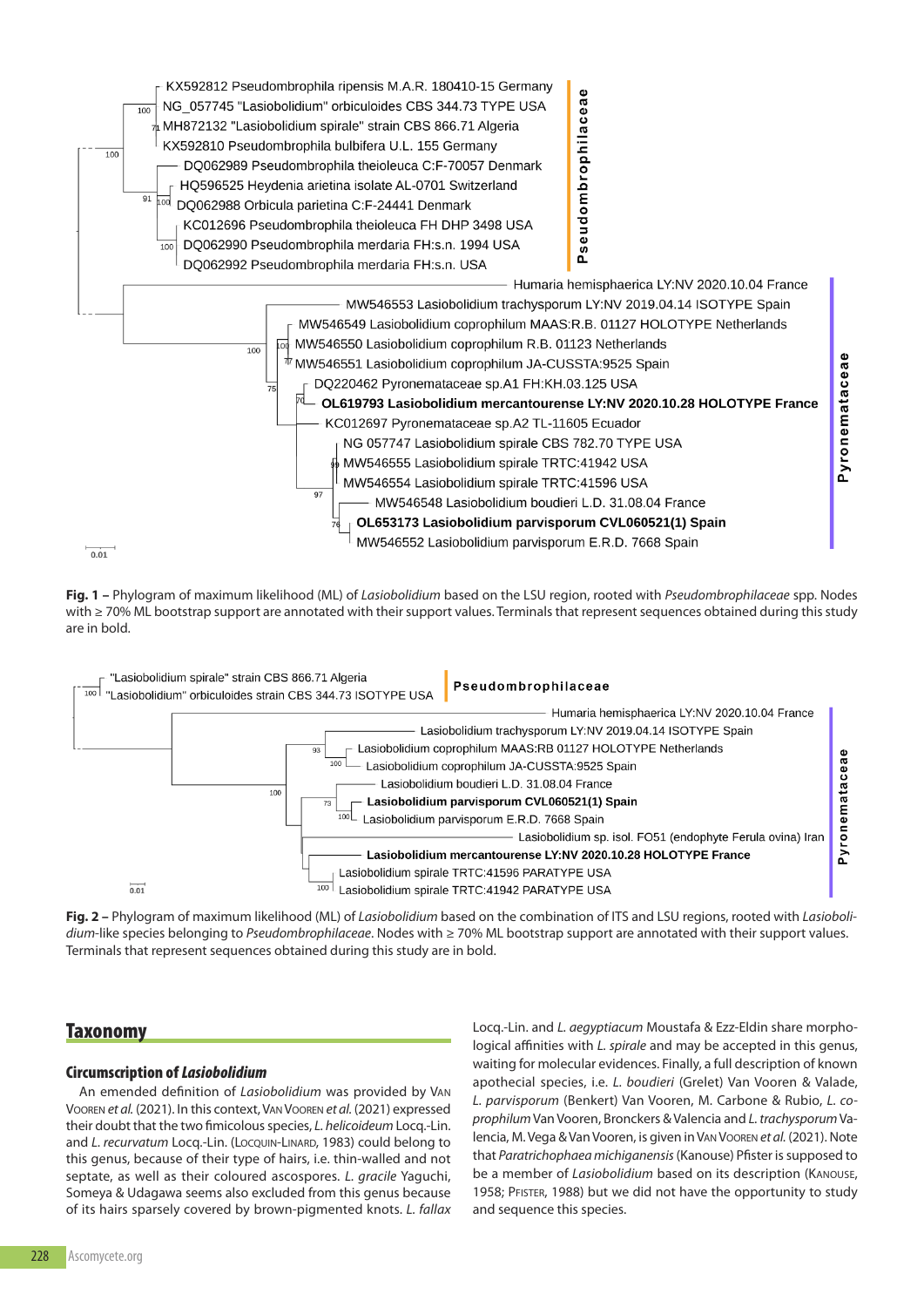

**Fig. 1 –** Phylogram of maximum likelihood (ML) of *Lasiobolidium* based on the LSu region, rooted with *Pseudombrophilaceae* spp. Nodes with ≥ 70% ML bootstrap support are annotated with their support values. Terminals that represent sequences obtained during this study are in bold.



**Fig. 2 –** Phylogram of maximum likelihood (ML) of *Lasiobolidium* based on the combination of ITS and LSu regions, rooted with *Lasiobolidium*-like species belonging to *Pseudombrophilaceae*. Nodes with ≥ 70% ML bootstrap support are annotated with their support values. Terminals that represent sequences obtained during this study are in bold.

### **Taxonomy**

#### **Circumscription of** *Lasiobolidium*

an emended definition of *Lasiobolidium* was provided by VaN VOOREN *et al.* (2021). In this context, VAN VOOREN *et al.* (2021) expressed their doubt that the two fimicolous species, *L. helicoideum* Locq.-Lin. and *L. recurvatum* Locq.-Lin. (Locoun-LINARD, 1983) could belong to this genus, because of their type of hairs, i.e. thin-walled and not septate, as well as their coloured ascospores. *L. gracile* Yaguchi, Someya & Udagawa seems also excluded from this genus because of its hairs sparsely covered by brown-pigmented knots. *L. fallax* Locq.-Lin. and *L. aegyptiacum* Moustafa & ezz-eldin share morphological affinities with *L. spirale* and may be accepted in this genus, waiting for molecular evidences. Finally, a full description of known apothecial species, i.e. *L. boudieri* (Grelet) Van Vooren & Valade, L. parvisporum (Benkert) Van Vooren, M. Carbone & Rubio, L. co*prophilum* Van Vooren, Bronckers & Valencia and *L. trachysporum* Valencia, M. Vega & Van Vooren, is given in Van Vooren *et al.* (2021). Note that *Paratrichophaea michiganensis*(Kanouse) Pfister is supposed to be a member of *Lasiobolidium* based on its description (KANOUSE, 1958; PFISTER, 1988) but we did not have the opportunity to study and sequence this species.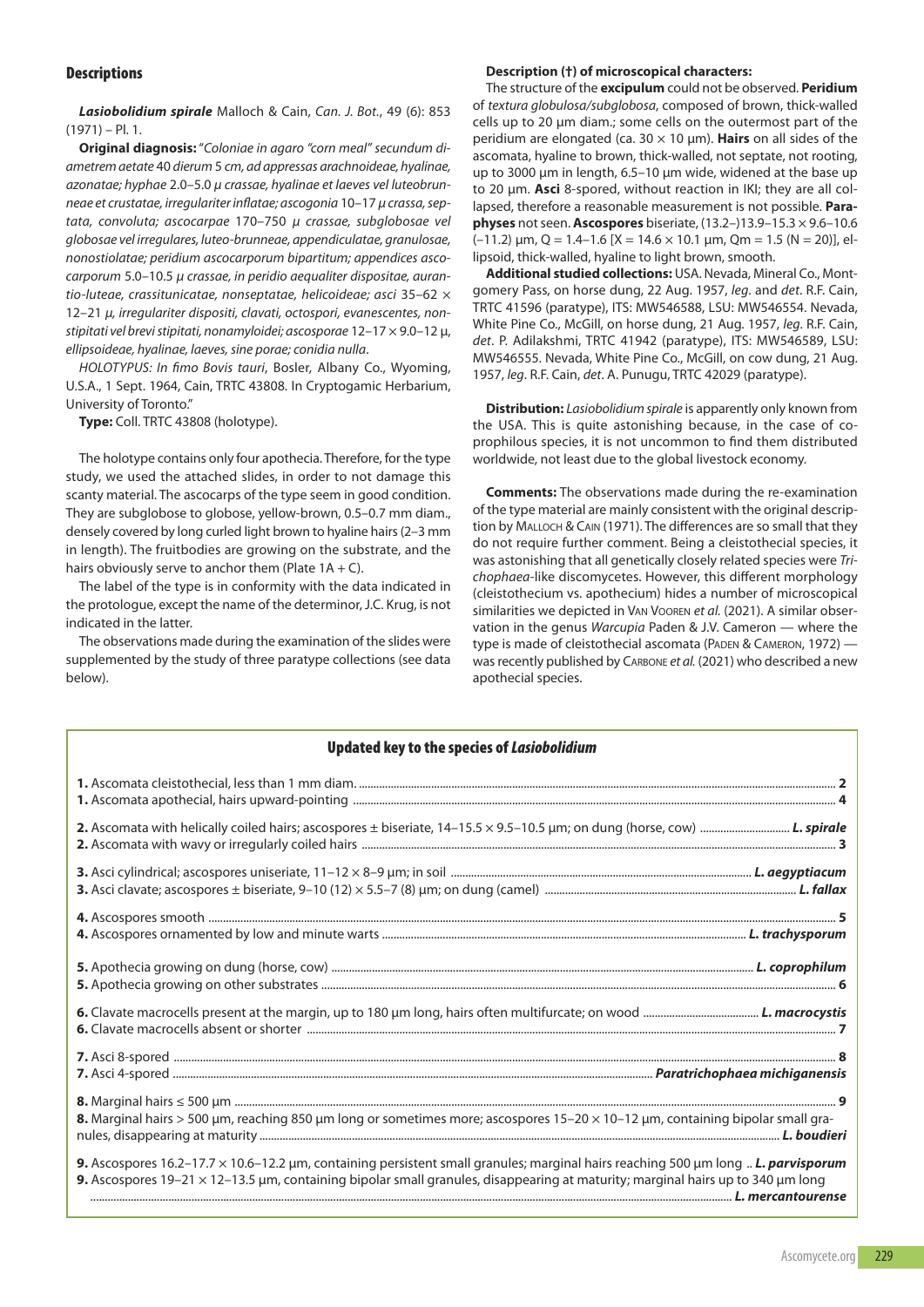#### **Descriptions**

*Lasiobolidium spirale* Malloch & Cain, *Can. J. Bot.*, 49 (6): 853  $(1971) - P1.1$ .

**Original diagnosis:**"*Coloniae in agaro "corn meal" secundum diametrem aetate* 40 *dierum* 5 *cm, ad appressas arachnoideae, hyalinae, azonatae; hyphae* 2.0–5.0 *µ crassae, hyalinae et laeves vel luteobrunneae et crustatae, irregulariter inflatae; ascogonia* 10–17 *µ crassa, septata, convoluta; ascocarpae* 170–750 *µ crassae, subglobosae vel globosae vel irregulares, luteo-brunneae, appendiculatae, granulosae, nonostiolatae; peridium ascocarporum bipartitum; appendices ascocarporum* 5.0–10.5 *µ crassae, in peridio aequaliter dispositae, aurantio-luteae, crassitunicatae, nonseptatae, helicoideae; asci* 35–62 × 12–21 *µ, irregulariter dispositi, clavati, octospori, evanescentes, nonstipitati vel brevi stipitati, nonamyloidei; ascosporae* 12–17 × 9.0–12 µ, *ellipsoideae, hyalinae, laeves, sine porae; conidia nulla*.

*HOLOTYPUS: In fimo Bovis tauri*, Bosler, albany Co., Wyoming, u.S.a., 1 Sept. 1964, Cain, TrTC 43808. In Cryptogamic herbarium, University of Toronto."

**Type:** Coll. TRTC 43808 (holotype).

The holotype contains only four apothecia. Therefore, for the type study, we used the attached slides, in order to not damage this scanty material. The ascocarps of the type seem in good condition. They are subglobose to globose, yellow-brown, 0.5–0.7 mm diam., densely covered by long curled light brown to hyaline hairs (2–3 mm in length). The fruitbodies are growing on the substrate, and the hairs obviously serve to anchor them (Plate  $1A + C$ ).

The label of the type is in conformity with the data indicated in the protologue, except the name of the determinor, J.C. Krug, is not indicated in the latter.

The observations made during the examination of the slides were supplemented by the study of three paratype collections (see data below).

#### **Description (†) of microscopical characters:**

The structure of the **excipulum** could not be observed. **Peridium** of *textura globulosa/subglobosa*, composed of brown, thick-walled cells up to 20 µm diam.; some cells on the outermost part of the peridium are elongated (ca. 30 × 10 µm). **Hairs** on all sides of the ascomata, hyaline to brown, thick-walled, not septate, not rooting, up to 3000 µm in length, 6.5–10 µm wide, widened at the base up to 20 µm. **Asci** 8-spored, without reaction in IKI; they are all collapsed, therefore a reasonable measurement is not possible. **Paraphyses** not seen. **Ascospores** biseriate, (13.2–)13.9–15.3 × 9.6–10.6  $(-11.2)$  um, Q = 1.4–1.6  $X = 14.6 \times 10.1$  um, Om = 1.5 (N = 20), ellipsoid, thick-walled, hyaline to light brown, smooth.

**Additional studied collections:** uSa. Nevada, Mineral Co., Montgomery Pass, on horse dung, 22 Aug. 1957, leg. and *det*. R.F. Cain, TrTC 41596 (paratype), ITS: MW546588, LSu: MW546554. Nevada, White Pine Co., McGill, on horse dung, 21 Aug. 1957, leg. R.F. Cain, *det*. P. adilakshmi, TrTC 41942 (paratype), ITS: MW546589, LSu: MW546555. Nevada, White Pine Co., McGill, on cow dung, 21 Aug. 1957, *leg. R.F. Cain, det. A. Punugu, TRTC 42029* (paratype).

**Distribution:** *Lasiobolidium spirale* is apparently only known from the uSa. This is quite astonishing because, in the case of coprophilous species, it is not uncommon to find them distributed worldwide, not least due to the global livestock economy.

**Comments:** The observations made during the re-examination of the type material are mainly consistent with the original description by MALLOCH & CAIN (1971). The differences are so small that they do not require further comment. Being a cleistothecial species, it was astonishing that all genetically closely related species were *Trichophaea*-like discomycetes. however, this different morphology (cleistothecium vs. apothecium) hides a number of microscopical similarities we depicted in VAN VOOREN et al. (2021). A similar observation in the genus *Warcupia* Paden & J.V. Cameron — where the type is made of cleistothecial ascomata (PADEN & CAMERON, 1972) was recently published by CarBONe *et al.* (2021) who described a new apothecial species.

#### **Updated key to the species of** *Lasiobolidium*

| 8. Marginal hairs > 500 µm, reaching 850 µm long or sometimes more; ascospores 15-20 × 10-12 µm, containing bipolar small gra-                                                                                                                                       |  |
|----------------------------------------------------------------------------------------------------------------------------------------------------------------------------------------------------------------------------------------------------------------------|--|
| 9. Ascospores 16.2-17.7 × 10.6-12.2 µm, containing persistent small granules; marginal hairs reaching 500 µm long  L. parvisporum<br>9. Ascospores 19-21 x 12-13.5 µm, containing bipolar small granules, disappearing at maturity; marginal hairs up to 340 µm long |  |

Ascomycete.org 229

L. mercantourense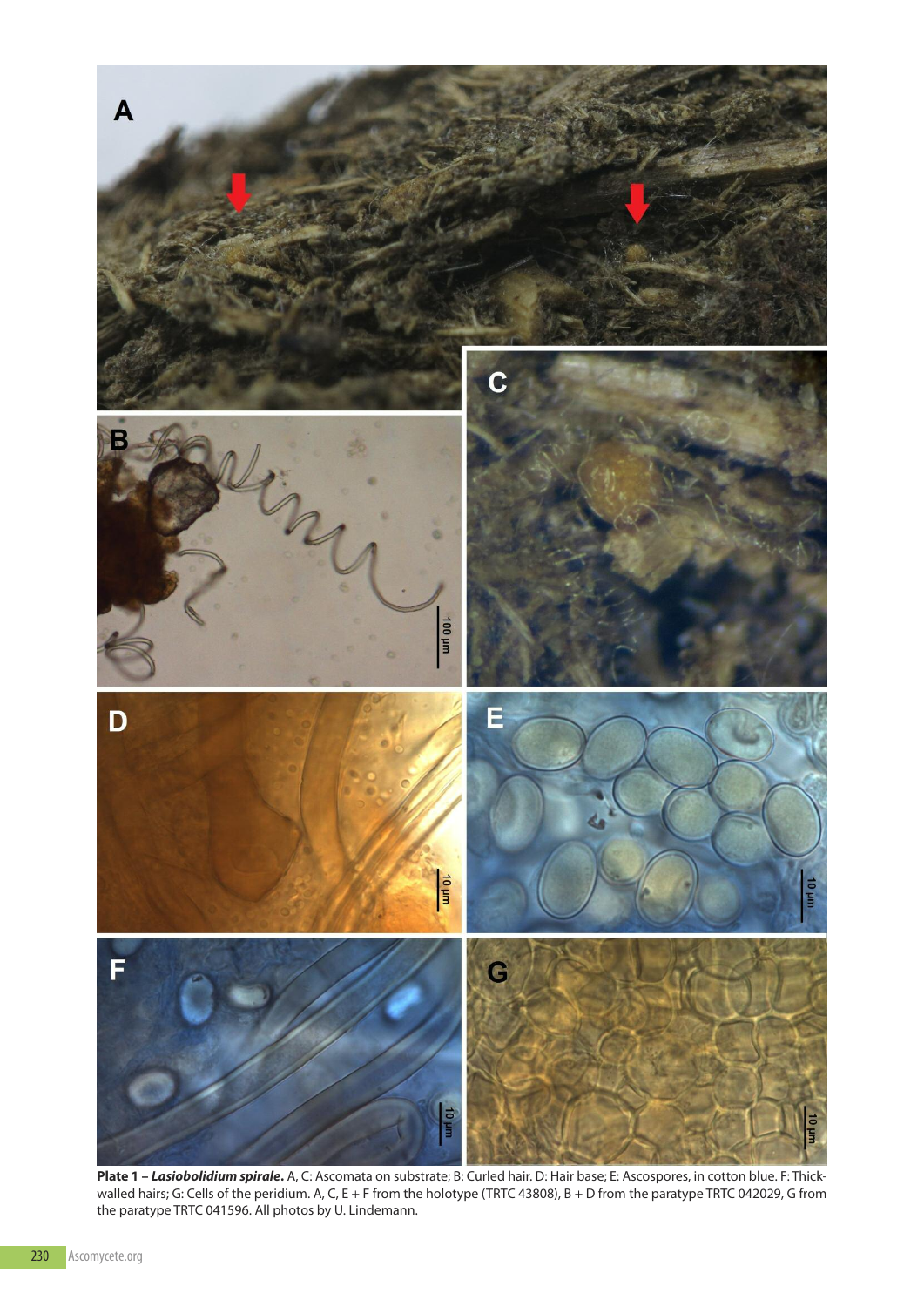

**Plate 1** *– Lasiobolidium spirale***.** A, C: Ascomata on substrate; B: Curled hair. D: Hair base; E: Ascospores, in cotton blue. F: Thickwalled hairs; G: Cells of the peridium. A, C, E + F from the holotype (TRTC 43808), B + D from the paratype TRTC 042029, G from the paratype TRTC 041596. All photos by U. Lindemann.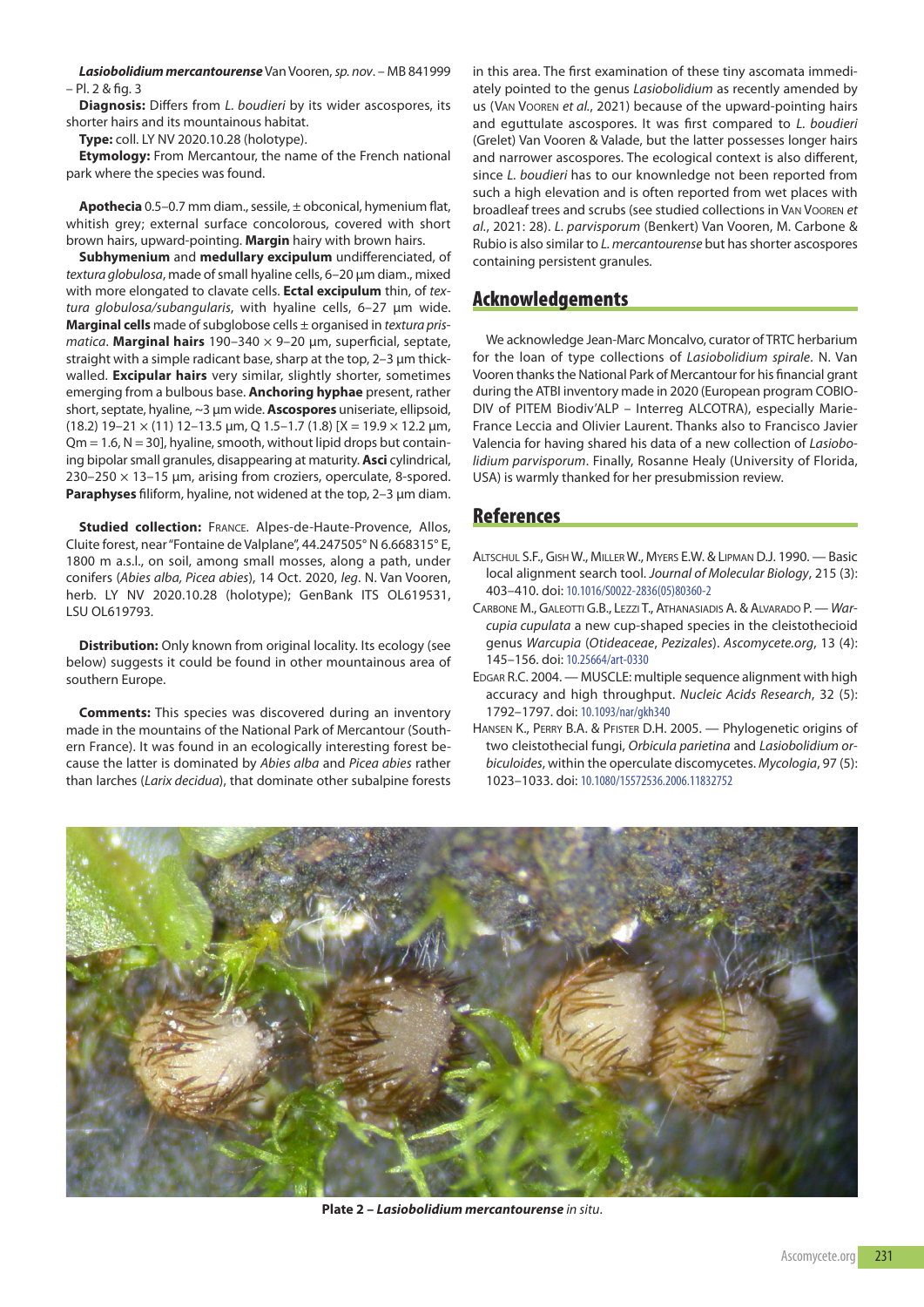*Lasiobolidium mercantourense*Van Vooren, *sp. nov*. – MB 841999 – Pl. 2 & fig. 3

**Diagnosis:** Differs from *L. boudieri* by its wider ascospores, its shorter hairs and its mountainous habitat.

**Type:** coll. LY NV 2020.10.28 (holotype).

**Etymology:** From Mercantour, the name of the French national park where the species was found.

**Apothecia** 0.5–0.7 mm diam., sessile, ± obconical, hymenium flat, whitish grey; external surface concolorous, covered with short brown hairs, upward-pointing. **Margin** hairy with brown hairs.

**Subhymenium** and **medullary excipulum** undifferenciated, of *textura globulosa*, made of small hyaline cells, 6–20 µm diam., mixed with more elongated to clavate cells. **Ectal excipulum** thin, of *textura globulosa/subangularis*, with hyaline cells, 6–27 µm wide. **Marginal cells** made of subglobose cells ± organised in *textura prismatica*. **Marginal hairs** 190–340 × 9–20 µm, superficial, septate, straight with a simple radicant base, sharp at the top, 2–3 µm thickwalled. **Excipular hairs** very similar, slightly shorter, sometimes emerging from a bulbous base. **Anchoring hyphae** present, rather short, septate, hyaline, ~3 µm wide. **Ascospores** uniseriate, ellipsoid, (18.2) 19–21  $\times$  (11) 12–13.5 µm, Q 1.5–1.7 (1.8) [X = 19.9  $\times$  12.2 µm,  $Qm = 1.6$ ,  $N = 30$ ], hyaline, smooth, without lipid drops but containing bipolar small granules, disappearing at maturity. **Asci** cylindrical, 230–250 × 13–15 µm, arising from croziers, operculate, 8-spored. **Paraphyses** filiform, hyaline, not widened at the top, 2–3 µm diam.

**Studied collection:** FRANCE. Alpes-de-Haute-Provence, Allos, Cluite forest, near "Fontaine de Valplane", 44.247505° N 6.668315° e, 1800 m a.s.l., on soil, among small mosses, along a path, under conifers (*Abies alba, Picea abies*), 14 Oct. 2020, *leg*. N. Van Vooren, herb. LY NV 2020.10.28 (holotype); GenBank ITS OL619531, LSU OL619793.

**Distribution:** Only known from original locality. Its ecology (see below) suggests it could be found in other mountainous area of southern Europe.

**Comments:** This species was discovered during an inventory made in the mountains of the National Park of Mercantour (Southern France). It was found in an ecologically interesting forest because the latter is dominated by *Abies alba* and *Picea abies* rather than larches (*Larix decidua*), that dominate other subalpine forests in this area. The first examination of these tiny ascomata immediately pointed to the genus *Lasiobolidium* as recently amended by us (VAN VOOREN et al., 2021) because of the upward-pointing hairs and eguttulate ascospores. It was first compared to *L. boudieri* (Grelet) Van Vooren & Valade, but the latter possesses longer hairs and narrower ascospores. The ecological context is also different, since *L. boudieri* has to our knownledge not been reported from such a high elevation and is often reported from wet places with broadleaf trees and scrubs (see studied collections in VaN VOOreN *et al.*, 2021: 28). *L. parvisporum* (Benkert) Van Vooren, M. Carbone & rubio is also similar to *L. mercantourense* but has shorter ascospores containing persistent granules.

## **Acknowledgements**

We acknowledge Jean-Marc Moncalvo, curator of TRTC herbarium for the loan of type collections of *Lasiobolidium spirale*. N. Van Vooren thanks the National Park of Mercantour for his financial grant during the ATBI inventory made in 2020 (European program COBIO-DIV of PITEM Biodiv'ALP – Interreg ALCOTRA), especially Marie-France Leccia and Olivier Laurent. Thanks also to Francisco Javier Valencia for having shared his data of a new collection of *Lasiobolidium parvisporum*. Finally, Rosanne Healy (University of Florida, USA) is warmly thanked for her presubmission review.

## **References**

- ALTSCHUL S.F., GISH W., MILLER W., MYERS E.W. & LIPMAN D.J. 1990. Basic local alignment search tool. *Journal of Molecular Biology*, 215 (3): 403–410. doi: [10.1016/S0022-2836\(05\)80360-2](https://doi.org/10.1016/S0022-2836(05)80360-2)
- CARBONE M., GALEOTTI G.B., LEZZI T., ATHANASIADIS A. & ALVARADO P. War*cupia cupulata* a new cup-shaped species in the cleistothecioid genus *Warcupia* (*Otideaceae*, *Pezizales*). *Ascomycete.org*, 13 (4): 145–156. doi: [10.25664/art-0330](https://doi.org/10.25664/art-0330)
- EDGAR R.C. 2004. MUSCLE: multiple sequence alignment with high accuracy and high throughput. *Nucleic Acids Research*, 32 (5): 1792–1797. doi: [10.1093/nar/gkh340](https://doi.org/10.1093/nar/gkh340)
- HANSEN K., PERRY B.A. & PFISTER D.H. 2005. Phylogenetic origins of two cleistothecial fungi, *Orbicula parietina* and *Lasiobolidium orbiculoides*, within the operculate discomycetes. *Mycologia*, 97 (5): 1023–1033. doi: [10.1080/15572536.2006.11832752](https://doi.org/10.1080/15572536.2006.11832752)



**Plate 2 –** *Lasiobolidium mercantourense in situ*.